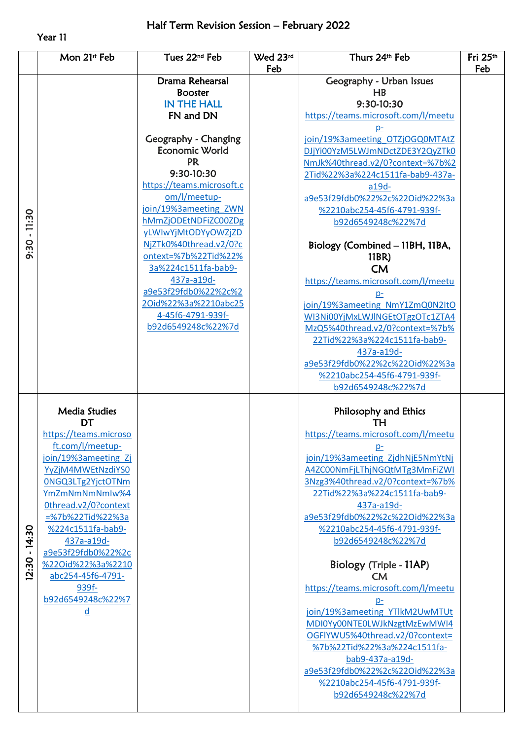## Year 11

|                | Mon 21st Feb                        | Tues 22 <sup>nd</sup> Feb                     | Wed 23rd | Thurs 24th Feb                                                   | Fri 25th |
|----------------|-------------------------------------|-----------------------------------------------|----------|------------------------------------------------------------------|----------|
|                |                                     | Drama Rehearsal                               | Feb      |                                                                  | Feb      |
|                |                                     | <b>Booster</b>                                |          | Geography - Urban Issues<br>HB                                   |          |
|                |                                     | <b>IN THE HALL</b>                            |          | 9:30-10:30                                                       |          |
|                |                                     | FN and DN                                     |          | https://teams.microsoft.com/l/meetu                              |          |
|                |                                     |                                               |          |                                                                  |          |
|                |                                     | Geography - Changing                          |          | join/19%3ameeting OTZjOGQ0MTAtZ                                  |          |
|                |                                     | Economic World                                |          | DJjYi00YzM5LWJmNDctZDE3Y2QyZTk0                                  |          |
|                |                                     | <b>PR</b>                                     |          | NmJk%40thread.v2/0?context=%7b%2                                 |          |
|                |                                     | 9:30-10:30                                    |          | 2Tid%22%3a%224c1511fa-bab9-437a-                                 |          |
|                |                                     | https://teams.microsoft.c                     |          | a19d-                                                            |          |
|                |                                     | om/l/meetup-                                  |          | a9e53f29fdb0%22%2c%22Oid%22%3a                                   |          |
|                |                                     | join/19%3ameeting ZWN                         |          | %2210abc254-45f6-4791-939f-                                      |          |
| $9:30 - 11:30$ |                                     | hMmZjODEtNDFiZC00ZDg                          |          | b92d6549248c%22%7d                                               |          |
|                |                                     | yLWIwYjMtODYyOWZjZD<br>NjZTk0%40thread.v2/0?c |          |                                                                  |          |
|                |                                     | ontext=%7b%22Tid%22%                          |          | Biology (Combined - 11BH, 11BA,<br>11BR)                         |          |
|                |                                     | 3a%224c1511fa-bab9-                           |          | <b>CM</b>                                                        |          |
|                |                                     | 437a-a19d-                                    |          | https://teams.microsoft.com/l/meetu                              |          |
|                |                                     | a9e53f29fdb0%22%2c%2                          |          | p-                                                               |          |
|                |                                     | 2Oid%22%3a%2210abc25                          |          | join/19%3ameeting NmY1ZmQ0N2ItO                                  |          |
|                |                                     | 4-45f6-4791-939f-                             |          | WI3Ni00YjMxLWJlNGEtOTgzOTc1ZTA4                                  |          |
|                |                                     | b92d6549248c%22%7d                            |          | MzQ5%40thread.v2/0?context=%7b%                                  |          |
|                |                                     |                                               |          | 22Tid%22%3a%224c1511fa-bab9-                                     |          |
|                |                                     |                                               |          | 437a-a19d-                                                       |          |
|                |                                     |                                               |          | a9e53f29fdb0%22%2c%22Oid%22%3a                                   |          |
|                |                                     |                                               |          | %2210abc254-45f6-4791-939f-                                      |          |
|                |                                     |                                               |          | b92d6549248c%22%7d                                               |          |
|                | <b>Media Studies</b>                |                                               |          | Philosophy and Ethics                                            |          |
|                | <b>DT</b>                           |                                               |          | TН                                                               |          |
|                | https://teams.microso               |                                               |          | https://teams.microsoft.com/l/meetu                              |          |
|                | ft.com/l/meetup-                    |                                               |          | $p-$                                                             |          |
|                | join/19%3ameeting_Zj                |                                               |          | join/19%3ameeting_ZjdhNjE5NmYtNj                                 |          |
| $-14:30$       | YyZjM4MWEtNzdiYS0                   |                                               |          | A4ZC00NmFjLThjNGQtMTg3MmFiZWI                                    |          |
|                | 0NGQ3LTg2YjctOTNm<br>YmZmNmNmNmIw%4 |                                               |          | 3Nzg3%40thread.v2/0?context=%7b%<br>22Tid%22%3a%224c1511fa-bab9- |          |
|                | Othread.v2/0?context                |                                               |          | 437a-a19d-                                                       |          |
|                | =%7b%22Tid%22%3a                    |                                               |          | a9e53f29fdb0%22%2c%22Oid%22%3a                                   |          |
|                | %224c1511fa-bab9-                   |                                               |          | %2210abc254-45f6-4791-939f-                                      |          |
|                | 437a-a19d-                          |                                               |          | b92d6549248c%22%7d                                               |          |
|                | a9e53f29fdb0%22%2c                  |                                               |          |                                                                  |          |
| 2:30           | %22Oid%22%3a%2210                   |                                               |          | Biology (Triple - 11AP)                                          |          |
|                | abc254-45f6-4791-                   |                                               |          | <b>CM</b>                                                        |          |
|                | 939f-                               |                                               |          | https://teams.microsoft.com/l/meetu                              |          |
|                | b92d6549248c%22%7                   |                                               |          | $p-$                                                             |          |
|                | ₫                                   |                                               |          | join/19%3ameeting YTlkM2UwMTUt<br>MDI0Yy00NTE0LWJkNzgtMzEwMWI4   |          |
|                |                                     |                                               |          | OGFIYWU5%40thread.v2/0?context=                                  |          |
|                |                                     |                                               |          | %7b%22Tid%22%3a%224c1511fa-                                      |          |
|                |                                     |                                               |          | bab9-437a-a19d-                                                  |          |
|                |                                     |                                               |          | a9e53f29fdb0%22%2c%22Oid%22%3a                                   |          |
|                |                                     |                                               |          | %2210abc254-45f6-4791-939f-                                      |          |
|                |                                     |                                               |          | b92d6549248c%22%7d                                               |          |
|                |                                     |                                               |          |                                                                  |          |